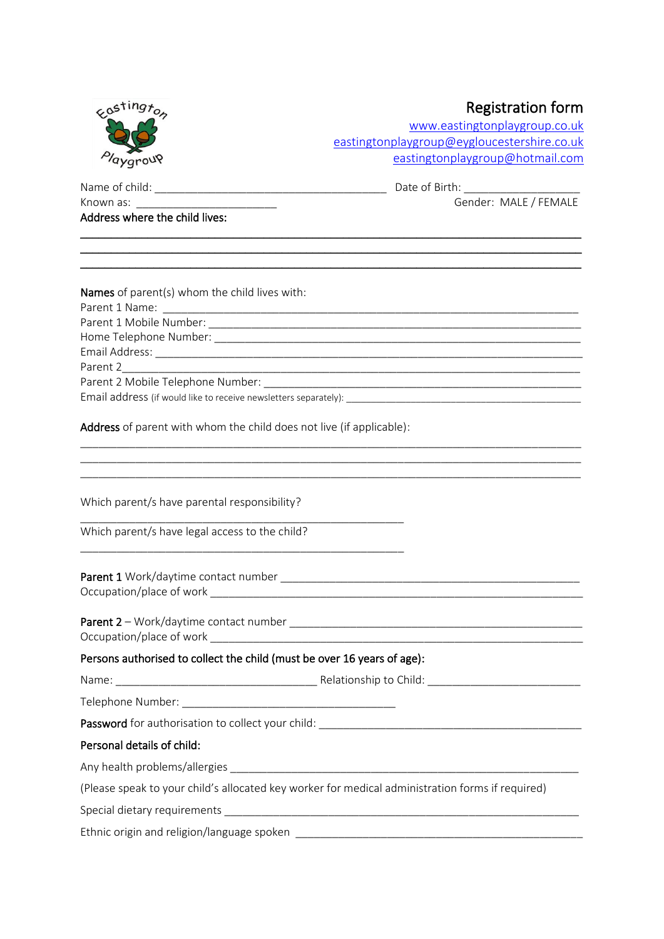| eastingt <sub>on</sub>                                                                           | <b>Registration form</b><br>www.eastingtonplaygroup.co.uk   |  |
|--------------------------------------------------------------------------------------------------|-------------------------------------------------------------|--|
|                                                                                                  |                                                             |  |
|                                                                                                  | eastingtonplaygroup@eygloucestershire.co.uk                 |  |
|                                                                                                  | eastingtonplaygroup@hotmail.com                             |  |
|                                                                                                  |                                                             |  |
|                                                                                                  | Gender: MALE / FEMALE                                       |  |
| Address where the child lives:                                                                   |                                                             |  |
| Names of parent(s) whom the child lives with:                                                    |                                                             |  |
|                                                                                                  |                                                             |  |
|                                                                                                  |                                                             |  |
|                                                                                                  |                                                             |  |
|                                                                                                  |                                                             |  |
| Parent 2                                                                                         |                                                             |  |
|                                                                                                  |                                                             |  |
| Address of parent with whom the child does not live (if applicable):                             |                                                             |  |
|                                                                                                  | <u> 1989 - Johann Stoff, amerikansk politiker (d. 1989)</u> |  |
| Which parent/s have parental responsibility?                                                     |                                                             |  |
| Which parent/s have legal access to the child?                                                   |                                                             |  |
| <b>Parent 1</b> Work/daytime contact number <b>Example 2018</b><br>Occupation/place of work      |                                                             |  |
|                                                                                                  |                                                             |  |
| Persons authorised to collect the child (must be over 16 years of age):                          |                                                             |  |
|                                                                                                  |                                                             |  |
|                                                                                                  |                                                             |  |
|                                                                                                  |                                                             |  |
| Personal details of child:                                                                       |                                                             |  |
|                                                                                                  |                                                             |  |
| (Please speak to your child's allocated key worker for medical administration forms if required) |                                                             |  |
|                                                                                                  |                                                             |  |
|                                                                                                  |                                                             |  |
|                                                                                                  |                                                             |  |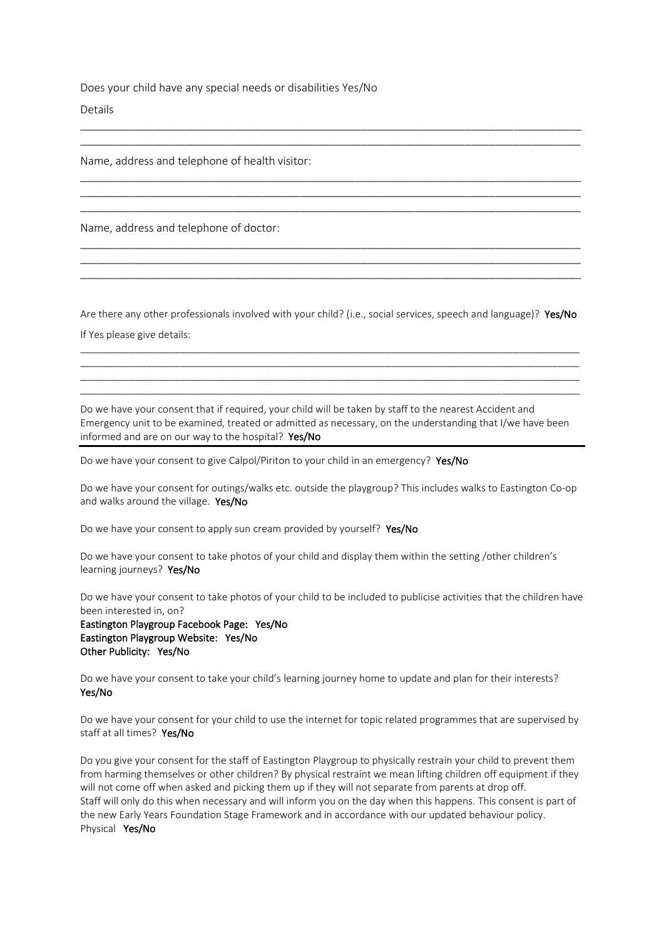Does your child have any special needs or disabilities Yes/No

Details

Name, address and telephone of health visitor:

Name, address and telephone of doctor:

Are there any other professionals involved with your child? (i.e., social services, speech and language)? Yes/No If Yes please give details:

\_\_\_\_\_\_\_\_\_\_\_\_\_\_\_\_\_\_\_\_\_\_\_\_\_\_\_\_\_\_\_\_\_\_\_\_\_\_\_\_\_\_\_\_\_\_\_\_\_\_\_\_\_\_\_\_\_\_\_\_\_\_\_\_\_\_\_\_\_\_\_\_\_\_\_\_\_\_\_\_\_\_\_\_\_\_\_\_\_\_  $\_$  ,  $\_$  ,  $\_$  ,  $\_$  ,  $\_$  ,  $\_$  ,  $\_$  ,  $\_$  ,  $\_$  ,  $\_$  ,  $\_$  ,  $\_$  ,  $\_$  ,  $\_$  ,  $\_$  ,  $\_$  ,  $\_$  ,  $\_$  ,  $\_$  ,  $\_$  ,  $\_$  ,  $\_$  ,  $\_$  ,  $\_$  ,  $\_$  ,  $\_$  ,  $\_$  ,  $\_$  ,  $\_$  ,  $\_$  ,  $\_$  ,  $\_$  ,  $\_$  ,  $\_$  ,  $\_$  ,  $\_$  ,  $\_$  , \_\_\_\_\_\_\_\_\_\_\_\_\_\_\_\_\_\_\_\_\_\_\_\_\_\_\_\_\_\_\_\_\_\_\_\_\_\_\_\_\_\_\_\_\_\_\_\_\_\_\_\_\_\_\_\_\_\_\_\_\_\_\_\_\_\_\_\_\_\_\_\_\_\_\_\_\_\_\_\_\_\_\_\_\_\_\_\_\_\_ \_\_\_\_\_\_\_\_\_\_\_\_\_\_\_\_\_\_\_\_\_\_\_\_\_\_\_\_\_\_\_\_\_\_\_\_\_\_\_\_\_\_\_\_\_\_\_\_\_\_\_\_\_\_\_\_\_\_\_\_\_\_\_\_\_\_\_\_\_\_\_\_\_\_\_\_\_\_\_\_\_\_\_\_\_\_\_\_\_\_

\_\_\_\_\_\_\_\_\_\_\_\_\_\_\_\_\_\_\_\_\_\_\_\_\_\_\_\_\_\_\_\_\_\_\_\_\_\_\_\_\_\_\_\_\_\_\_\_\_\_\_\_\_\_\_\_\_\_\_\_\_\_\_\_\_\_\_\_\_\_\_\_\_\_\_\_\_\_\_\_\_\_ \_\_\_\_\_\_\_\_\_\_\_\_\_\_\_\_\_\_\_\_\_\_\_\_\_\_\_\_\_\_\_\_\_\_\_\_\_\_\_\_\_\_\_\_\_\_\_\_\_\_\_\_\_\_\_\_\_\_\_\_\_\_\_\_\_\_\_\_\_\_\_\_\_\_\_\_\_\_\_\_\_\_

\_\_\_\_\_\_\_\_\_\_\_\_\_\_\_\_\_\_\_\_\_\_\_\_\_\_\_\_\_\_\_\_\_\_\_\_\_\_\_\_\_\_\_\_\_\_\_\_\_\_\_\_\_\_\_\_\_\_\_\_\_\_\_\_\_\_\_\_\_\_\_\_\_\_\_\_\_\_\_\_\_\_ \_\_\_\_\_\_\_\_\_\_\_\_\_\_\_\_\_\_\_\_\_\_\_\_\_\_\_\_\_\_\_\_\_\_\_\_\_\_\_\_\_\_\_\_\_\_\_\_\_\_\_\_\_\_\_\_\_\_\_\_\_\_\_\_\_\_\_\_\_\_\_\_\_\_\_\_\_\_\_\_\_\_ \_\_\_\_\_\_\_\_\_\_\_\_\_\_\_\_\_\_\_\_\_\_\_\_\_\_\_\_\_\_\_\_\_\_\_\_\_\_\_\_\_\_\_\_\_\_\_\_\_\_\_\_\_\_\_\_\_\_\_\_\_\_\_\_\_\_\_\_\_\_\_\_\_\_\_\_\_\_\_\_\_\_

\_\_\_\_\_\_\_\_\_\_\_\_\_\_\_\_\_\_\_\_\_\_\_\_\_\_\_\_\_\_\_\_\_\_\_\_\_\_\_\_\_\_\_\_\_\_\_\_\_\_\_\_\_\_\_\_\_\_\_\_\_\_\_\_\_\_\_\_\_\_\_\_\_\_\_\_\_\_\_\_\_\_ \_\_\_\_\_\_\_\_\_\_\_\_\_\_\_\_\_\_\_\_\_\_\_\_\_\_\_\_\_\_\_\_\_\_\_\_\_\_\_\_\_\_\_\_\_\_\_\_\_\_\_\_\_\_\_\_\_\_\_\_\_\_\_\_\_\_\_\_\_\_\_\_\_\_\_\_\_\_\_\_\_\_ \_\_\_\_\_\_\_\_\_\_\_\_\_\_\_\_\_\_\_\_\_\_\_\_\_\_\_\_\_\_\_\_\_\_\_\_\_\_\_\_\_\_\_\_\_\_\_\_\_\_\_\_\_\_\_\_\_\_\_\_\_\_\_\_\_\_\_\_\_\_\_\_\_\_\_\_\_\_\_\_\_\_

Do we have your consent that if required, your child will be taken by staff to the nearest Accident and Emergency unit to be examined, treated or admitted as necessary, on the understanding that I/we have been informed and are on our way to the hospital? Yes/No

Do we have your consent to give Calpol/Piriton to your child in an emergency? Yes/No

Do we have your consent for outings/walks etc. outside the playgroup? This includes walks to Eastington Co-op and walks around the village. Yes/No

Do we have your consent to apply sun cream provided by yourself? Yes/No

Do we have your consent to take photos of your child and display them within the setting /other children's learning journeys? Yes/No

Do we have your consent to take photos of your child to be included to publicise activities that the children have been interested in, on?

Eastington Playgroup Facebook Page: Yes/No Eastington Playgroup Website: Yes/No Other Publicity: Yes/No

Do we have your consent to take your child's learning journey home to update and plan for their interests? Yes/No

Do we have your consent for your child to use the internet for topic related programmes that are supervised by staff at all times? Yes/No

Do you give your consent for the staff of Eastington Playgroup to physically restrain your child to prevent them from harming themselves or other children? By physical restraint we mean lifting children off equipment if they will not come off when asked and picking them up if they will not separate from parents at drop off. Staff will only do this when necessary and will inform you on the day when this happens. This consent is part of the new Early Years Foundation Stage Framework and in accordance with our updated behaviour policy. Physical Yes/No